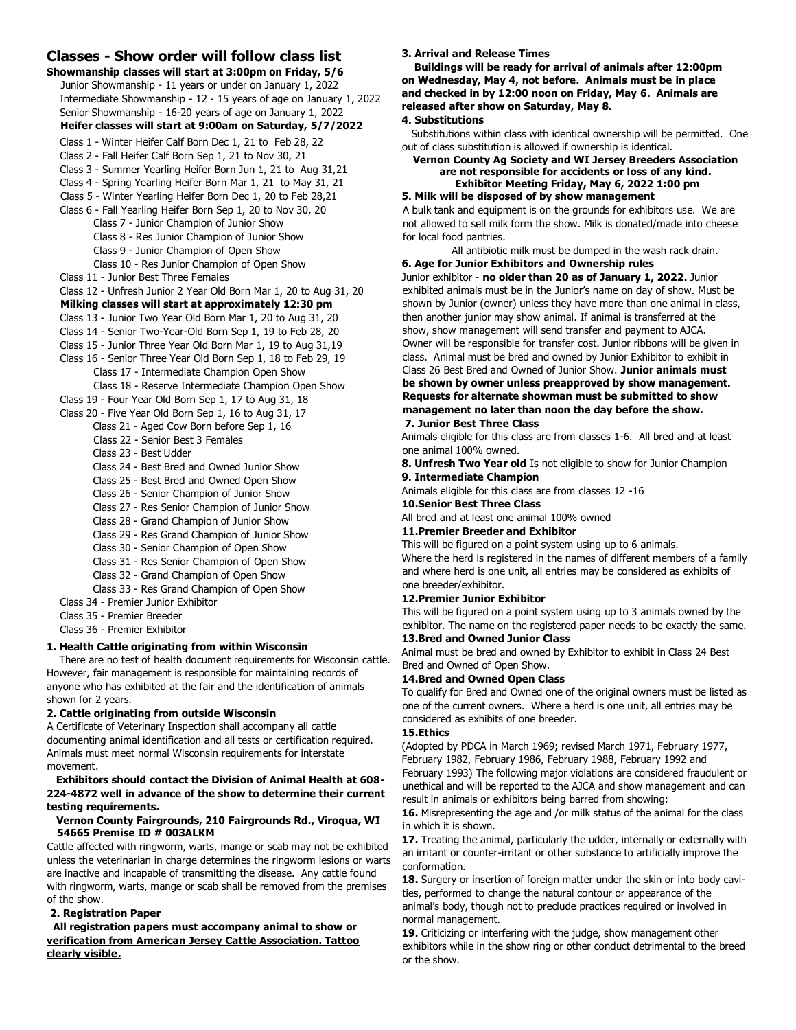# **Classes - Show order will follow class list**

| Showmanship classes will start at 3:00pm on Friday, 5/6                                                                       |
|-------------------------------------------------------------------------------------------------------------------------------|
| Junior Showmanship - 11 years or under on January 1, 2022                                                                     |
| Intermediate Showmanship - 12 - 15 years of age on January 1, 2022                                                            |
| Senior Showmanship - 16-20 years of age on January 1, 2022                                                                    |
| Heifer classes will start at 9:00am on Saturday, 5/7/2022                                                                     |
| Class 1 - Winter Heifer Calf Born Dec 1, 21 to Feb 28, 22                                                                     |
| Class 2 - Fall Heifer Calf Born Sep 1, 21 to Nov 30, 21                                                                       |
| Class 3 - Summer Yearling Heifer Born Jun 1, 21 to Aug 31,21                                                                  |
| Class 4 - Spring Yearling Heifer Born Mar 1, 21 to May 31, 21                                                                 |
| Class 5 - Winter Yearling Heifer Born Dec 1, 20 to Feb 28,21                                                                  |
| Class 6 - Fall Yearling Heifer Born Sep 1, 20 to Nov 30, 20                                                                   |
| Class 7 - Junior Champion of Junior Show                                                                                      |
| Class 8 - Res Junior Champion of Junior Show                                                                                  |
| Class 9 - Junior Champion of Open Show                                                                                        |
| Class 10 - Res Junior Champion of Open Show                                                                                   |
| Class 11 - Junior Best Three Females                                                                                          |
| Class 12 - Unfresh Junior 2 Year Old Born Mar 1, 20 to Aug 31, 20                                                             |
| Milking classes will start at approximately 12:30 pm                                                                          |
| Class 13 - Junior Two Year Old Born Mar 1, 20 to Aug 31, 20                                                                   |
| Class 14 - Senior Two-Year-Old Born Sep 1, 19 to Feb 28, 20                                                                   |
| Class 15 - Junior Three Year Old Born Mar 1, 19 to Aug 31,19<br>Class 16 - Senior Three Year Old Born Sep 1, 18 to Feb 29, 19 |
| Class 17 - Intermediate Champion Open Show                                                                                    |
| Class 18 - Reserve Intermediate Champion Open Show                                                                            |
| Class 19 - Four Year Old Born Sep 1, 17 to Aug 31, 18                                                                         |
| Class 20 - Five Year Old Born Sep 1, 16 to Aug 31, 17                                                                         |
| Class 21 - Aged Cow Born before Sep 1, 16                                                                                     |
| Class 22 - Senior Best 3 Females                                                                                              |
| Class 23 - Best Udder                                                                                                         |
| Class 24 - Best Bred and Owned Junior Show                                                                                    |
| Class 25 - Best Bred and Owned Open Show                                                                                      |
| Class 26 - Senior Champion of Junior Show                                                                                     |
| Class 27 - Res Senior Champion of Junior Show                                                                                 |
| Class 28 - Grand Champion of Junior Show                                                                                      |
|                                                                                                                               |

- Class 29 Res Grand Champion of Junior Show
- Class 30 Senior Champion of Open Show
- Class 31 Res Senior Champion of Open Show
- Class 32 Grand Champion of Open Show
- Class 33 Res Grand Champion of Open Show

Class 34 - Premier Junior Exhibitor

- Class 35 Premier Breeder
- Class 36 Premier Exhibitor

## **1. Health Cattle originating from within Wisconsin**

There are no test of health document requirements for Wisconsin cattle. However, fair management is responsible for maintaining records of anyone who has exhibited at the fair and the identification of animals shown for 2 years.

## **2. Cattle originating from outside Wisconsin**

A Certificate of Veterinary Inspection shall accompany all cattle documenting animal identification and all tests or certification required. Animals must meet normal Wisconsin requirements for interstate movement.

# **Exhibitors should contact the Division of Animal Health at 608- 224-4872 well in advance of the show to determine their current testing requirements.**

#### **Vernon County Fairgrounds, 210 Fairgrounds Rd., Viroqua, WI 54665 Premise ID # 003ALKM**

Cattle affected with ringworm, warts, mange or scab may not be exhibited unless the veterinarian in charge determines the ringworm lesions or warts are inactive and incapable of transmitting the disease. Any cattle found with ringworm, warts, mange or scab shall be removed from the premises of the show.

## **2. Registration Paper**

## **All registration papers must accompany animal to show or verification from American Jersey Cattle Association. Tattoo clearly visible.**

#### **3. Arrival and Release Times**

**Buildings will be ready for arrival of animals after 12:00pm on Wednesday, May 4, not before. Animals must be in place and checked in by 12:00 noon on Friday, May 6. Animals are released after show on Saturday, May 8.**

# **4. Substitutions**

Substitutions within class with identical ownership will be permitted. One out of class substitution is allowed if ownership is identical.

#### **Vernon County Ag Society and WI Jersey Breeders Association are not responsible for accidents or loss of any kind. Exhibitor Meeting Friday, May 6, 2022 1:00 pm**

#### **5. Milk will be disposed of by show management**

A bulk tank and equipment is on the grounds for exhibitors use. We are not allowed to sell milk form the show. Milk is donated/made into cheese for local food pantries.

All antibiotic milk must be dumped in the wash rack drain. **6. Age for Junior Exhibitors and Ownership rules**

# Junior exhibitor - **no older than 20 as of January 1, 2022.** Junior

exhibited animals must be in the Junior's name on day of show. Must be shown by Junior (owner) unless they have more than one animal in class, then another junior may show animal. If animal is transferred at the show, show management will send transfer and payment to AJCA. Owner will be responsible for transfer cost. Junior ribbons will be given in class. Animal must be bred and owned by Junior Exhibitor to exhibit in

Class 26 Best Bred and Owned of Junior Show. **Junior animals must be shown by owner unless preapproved by show management. Requests for alternate showman must be submitted to show management no later than noon the day before the show.**

# **7. Junior Best Three Class**

Animals eligible for this class are from classes 1-6. All bred and at least one animal 100% owned.

**8. Unfresh Two Year old** Is not eligible to show for Junior Champion

# **9. Intermediate Champion**

Animals eligible for this class are from classes 12 -16

## **10.Senior Best Three Class**

All bred and at least one animal 100% owned

#### **11.Premier Breeder and Exhibitor**

This will be figured on a point system using up to 6 animals. Where the herd is registered in the names of different members of a family and where herd is one unit, all entries may be considered as exhibits of one breeder/exhibitor.

# **12.Premier Junior Exhibitor**

This will be figured on a point system using up to 3 animals owned by the exhibitor. The name on the registered paper needs to be exactly the same. **13.Bred and Owned Junior Class**

Animal must be bred and owned by Exhibitor to exhibit in Class 24 Best Bred and Owned of Open Show.

## **14.Bred and Owned Open Class**

To qualify for Bred and Owned one of the original owners must be listed as one of the current owners. Where a herd is one unit, all entries may be considered as exhibits of one breeder.

## **15.Ethics**

(Adopted by PDCA in March 1969; revised March 1971, February 1977, February 1982, February 1986, February 1988, February 1992 and February 1993) The following major violations are considered fraudulent or unethical and will be reported to the AJCA and show management and can result in animals or exhibitors being barred from showing:

16. Misrepresenting the age and /or milk status of the animal for the class in which it is shown.

**17.** Treating the animal, particularly the udder, internally or externally with an irritant or counter-irritant or other substance to artificially improve the conformation.

**18.** Surgery or insertion of foreign matter under the skin or into body cavities, performed to change the natural contour or appearance of the animal's body, though not to preclude practices required or involved in normal management.

**19.** Criticizing or interfering with the judge, show management other exhibitors while in the show ring or other conduct detrimental to the breed or the show.